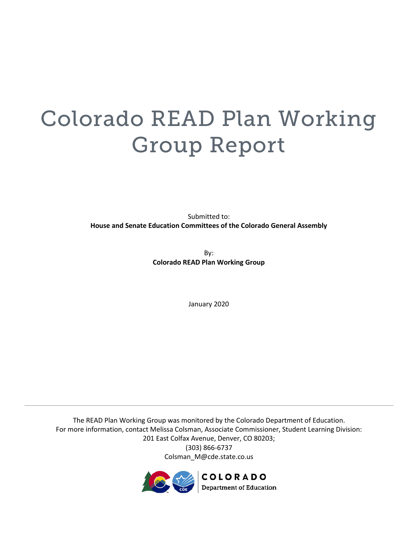# Colorado READ Plan Working Group Report

Submitted to: **House and Senate Education Committees of the Colorado General Assembly**

> By: **Colorado READ Plan Working Group**

> > January 2020

The READ Plan Working Group was monitored by the Colorado Department of Education. For more information, contact Melissa Colsman, Associate Commissioner, Student Learning Division: 201 East Colfax Avenue, Denver, CO 80203; (303) 866-6737

Colsman\_M@cde.state.co.us



**COLORADO Department of Education**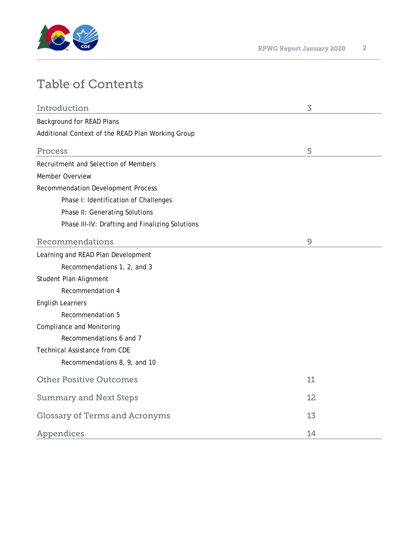

# Table of Contents

| Introduction                                      | 3  |
|---------------------------------------------------|----|
| Background for READ Plans                         |    |
| Additional Context of the READ Plan Working Group |    |
| Process                                           | 5  |
| Recruitment and Selection of Members              |    |
| Member Overview                                   |    |
| <b>Recommendation Development Process</b>         |    |
| Phase I: Identification of Challenges             |    |
| Phase II: Generating Solutions                    |    |
| Phase III-IV: Drafting and Finalizing Solutions   |    |
| Recommendations                                   | 9  |
| Learning and READ Plan Development                |    |
| Recommendations 1, 2, and 3                       |    |
| Student Plan Alignment                            |    |
| Recommendation 4                                  |    |
| <b>English Learners</b>                           |    |
| Recommendation 5                                  |    |
| <b>Compliance and Monitoring</b>                  |    |
| Recommendations 6 and 7                           |    |
| <b>Technical Assistance from CDE</b>              |    |
| Recommendations 8, 9, and 10                      |    |
| <b>Other Positive Outcomes</b>                    | 11 |
| <b>Summary and Next Steps</b>                     | 12 |
| <b>Glossary of Terms and Acronyms</b>             | 13 |
| Appendices                                        | 14 |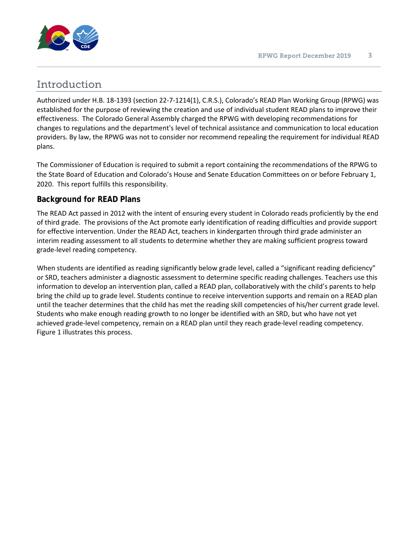

### Introduction

Authorized under H.B. 18-1393 (section 22-7-1214(1), C.R.S.), Colorado's READ Plan Working Group (RPWG) was established for the purpose of reviewing the creation and use of individual student READ plans to improve their effectiveness. The Colorado General Assembly charged the RPWG with developing recommendations for changes to regulations and the department's level of technical assistance and communication to local education providers. By law, the RPWG was not to consider nor recommend repealing the requirement for individual READ plans.

The Commissioner of Education is required to submit a report containing the recommendations of the RPWG to the State Board of Education and Colorado's House and Senate Education Committees on or before February 1, 2020. This report fulfills this responsibility.

#### **Background for READ Plans**

The READ Act passed in 2012 with the intent of ensuring every student in Colorado reads proficiently by the end of third grade. The provisions of the Act promote early identification of reading difficulties and provide support for effective intervention. Under the READ Act, teachers in kindergarten through third grade administer an interim reading assessment to all students to determine whether they are making sufficient progress toward grade-level reading competency.

When students are identified as reading significantly below grade level, called a "significant reading deficiency" or SRD, teachers administer a diagnostic assessment to determine specific reading challenges. Teachers use this information to develop an intervention plan, called a READ plan, collaboratively with the child's parents to help bring the child up to grade level. Students continue to receive intervention supports and remain on a READ plan until the teacher determines that the child has met the reading skill competencies of his/her current grade level. Students who make enough reading growth to no longer be identified with an SRD, but who have not yet achieved grade-level competency, remain on a READ plan until they reach grade-level reading competency. Figure 1 illustrates this process.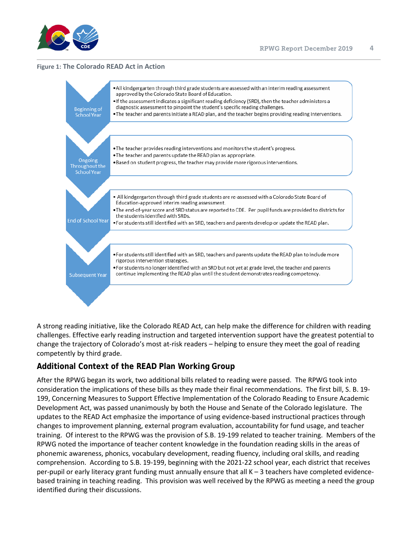

#### **Figure 1: The Colorado READ Act in Action**



A strong reading initiative, like the Colorado READ Act, can help make the difference for children with reading challenges. Effective early reading instruction and targeted intervention support have the greatest potential to change the trajectory of Colorado's most at-risk readers – helping to ensure they meet the goal of reading competently by third grade.

#### **Additional Context of the READ Plan Working Group**

After the RPWG began its work, two additional bills related to reading were passed. The RPWG took into consideration the implications of these bills as they made their final recommendations. The first bill, S. B. 19- 199, Concerning Measures to Support Effective Implementation of the Colorado Reading to Ensure Academic Development Act, was passed unanimously by both the House and Senate of the Colorado legislature. The updates to the READ Act emphasize the importance of using evidence-based instructional practices through changes to improvement planning, external program evaluation, accountability for fund usage, and teacher training. Of interest to the RPWG was the provision of S.B. 19-199 related to teacher training. Members of the RPWG noted the importance of teacher content knowledge in the foundation reading skills in the areas of phonemic awareness, phonics, vocabulary development, reading fluency, including oral skills, and reading comprehension. According to S.B. 19-199, beginning with the 2021-22 school year, each district that receives per-pupil or early literacy grant funding must annually ensure that all K – 3 teachers have completed evidencebased training in teaching reading. This provision was well received by the RPWG as meeting a need the group identified during their discussions.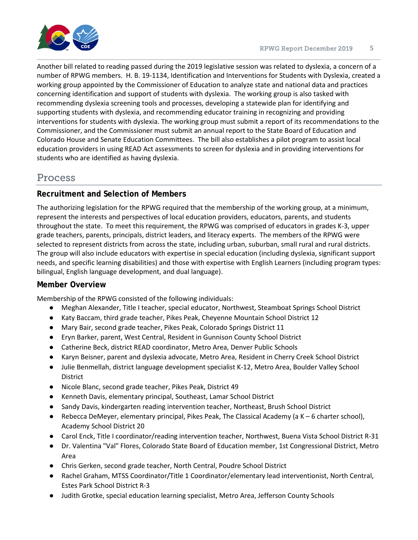

Another bill related to reading passed during the 2019 legislative session was related to dyslexia, a concern of a number of RPWG members. H. B. 19-1134, Identification and Interventions for Students with Dyslexia, created a working group appointed by the Commissioner of Education to analyze state and national data and practices concerning identification and support of students with dyslexia. The working group is also tasked with recommending dyslexia screening tools and processes, developing a statewide plan for identifying and supporting students with dyslexia, and recommending educator training in recognizing and providing interventions for students with dyslexia. The working group must submit a report of its recommendations to the Commissioner, and the Commissioner must submit an annual report to the State Board of Education and Colorado House and Senate Education Committees. The bill also establishes a pilot program to assist local education providers in using READ Act assessments to screen for dyslexia and in providing interventions for students who are identified as having dyslexia.

### Process

#### **Recruitment and Selection of Members**

The authorizing legislation for the RPWG required that the membership of the working group, at a minimum, represent the interests and perspectives of local education providers, educators, parents, and students throughout the state. To meet this requirement, the RPWG was comprised of educators in grades K-3, upper grade teachers, parents, principals, district leaders, and literacy experts. The members of the RPWG were selected to represent districts from across the state, including urban, suburban, small rural and rural districts. The group will also include educators with expertise in special education (including dyslexia, significant support needs, and specific learning disabilities) and those with expertise with English Learners (including program types: bilingual, English language development, and dual language).

#### **Member Overview**

Membership of the RPWG consisted of the following individuals:

- Meghan Alexander, Title I teacher, special educator, Northwest, Steamboat Springs School District
- Katy Baccam, third grade teacher, Pikes Peak, Cheyenne Mountain School District 12
- Mary Bair, second grade teacher, Pikes Peak, Colorado Springs District 11
- Eryn Barker, parent, West Central, Resident in Gunnison County School District
- Catherine Beck, district READ coordinator, Metro Area, Denver Public Schools
- Karyn Beisner, parent and dyslexia advocate, Metro Area, Resident in Cherry Creek School District
- Julie Benmellah, district language development specialist K-12, Metro Area, Boulder Valley School District
- Nicole Blanc, second grade teacher, Pikes Peak, District 49
- Kenneth Davis, elementary principal, Southeast, Lamar School District
- Sandy Davis, kindergarten reading intervention teacher, Northeast, Brush School District
- Rebecca DeMeyer, elementary principal, Pikes Peak, The Classical Academy (a K 6 charter school), Academy School District 20
- Carol Enck, Title I coordinator/reading intervention teacher, Northwest, Buena Vista School District R-31
- Dr. Valentina "Val" Flores, Colorado State Board of Education member, 1st Congressional District, Metro Area
- Chris Gerken, second grade teacher, North Central, Poudre School District
- Rachel Graham, MTSS Coordinator/Title 1 Coordinator/elementary lead interventionist, North Central, Estes Park School District R-3
- Judith Grotke, special education learning specialist, Metro Area, Jefferson County Schools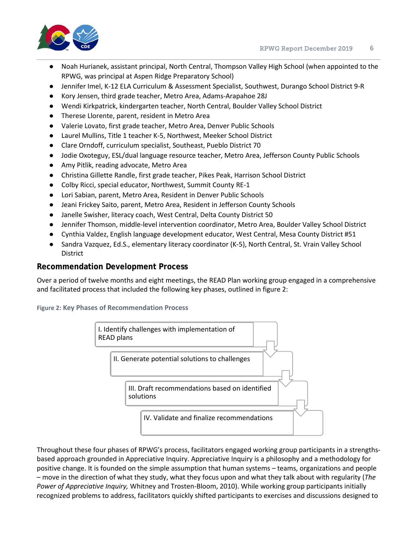

- Noah Hurianek, assistant principal, North Central, Thompson Valley High School (when appointed to the RPWG, was principal at Aspen Ridge Preparatory School)
- Jennifer Imel, K-12 ELA Curriculum & Assessment Specialist, Southwest, Durango School District 9-R
- Kory Jensen, third grade teacher, Metro Area, Adams-Arapahoe 28J
- Wendi Kirkpatrick, kindergarten teacher, North Central, Boulder Valley School District
- Therese Llorente, parent, resident in Metro Area
- Valerie Lovato, first grade teacher, Metro Area, Denver Public Schools
- Laurel Mullins, Title 1 teacher K-5, Northwest, Meeker School District
- Clare Orndoff, curriculum specialist, Southeast, Pueblo District 70
- Jodie Oxoteguy, ESL/dual language resource teacher, Metro Area, Jefferson County Public Schools
- Amy Pitlik, reading advocate, Metro Area
- Christina Gillette Randle, first grade teacher, Pikes Peak, Harrison School District
- Colby Ricci, special educator, Northwest, Summit County RE-1
- Lori Sabian, parent, Metro Area, Resident in Denver Public Schools
- Jeani Frickey Saito, parent, Metro Area, Resident in Jefferson County Schools
- Janelle Swisher, literacy coach, West Central, Delta County District 50
- Jennifer Thomson, middle-level intervention coordinator, Metro Area, Boulder Valley School District
- Cynthia Valdez, English language development educator, West Central, Mesa County District #51
- Sandra Vazquez, Ed.S., elementary literacy coordinator (K-5), North Central, St. Vrain Valley School **District**

#### **Recommendation Development Process**

Over a period of twelve months and eight meetings, the READ Plan working group engaged in a comprehensive and facilitated process that included the following key phases, outlined in figure 2:

#### **Figure 2: Key Phases of Recommendation Process**



Throughout these four phases of RPWG's process, facilitators engaged working group participants in a strengthsbased approach grounded in Appreciative Inquiry. Appreciative Inquiry is a philosophy and a methodology for positive change. It is founded on the simple assumption that human systems – teams, organizations and people – move in the direction of what they study, what they focus upon and what they talk about with regularity (*The Power of Appreciative Inquiry,* Whitney and Trosten-Bloom, 2010). While working group participants initially recognized problems to address, facilitators quickly shifted participants to exercises and discussions designed to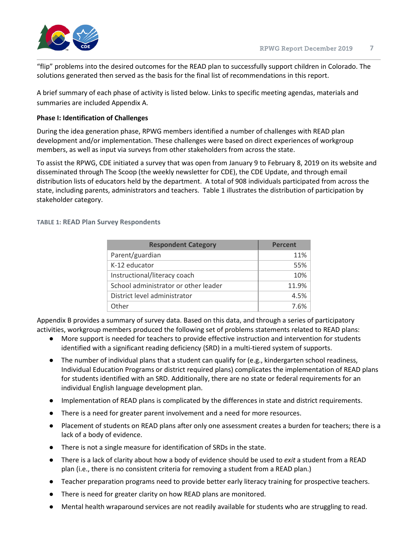

"flip" problems into the desired outcomes for the READ plan to successfully support children in Colorado. The solutions generated then served as the basis for the final list of recommendations in this report.

A brief summary of each phase of activity is listed below. Links to specific meeting agendas, materials and summaries are included Appendix A.

#### **Phase I: Identification of Challenges**

During the idea generation phase, RPWG members identified a number of challenges with READ plan development and/or implementation. These challenges were based on direct experiences of workgroup members, as well as input via surveys from other stakeholders from across the state.

To assist the RPWG, CDE initiated a survey that was open from January 9 to February 8, 2019 on its website and disseminated through The Scoop (the weekly newsletter for CDE), the CDE Update, and through email distribution lists of educators held by the department. A total of 908 individuals participated from across the state, including parents, administrators and teachers. Table 1 illustrates the distribution of participation by stakeholder category.

#### **TABLE 1: READ Plan Survey Respondents**

| <b>Respondent Category</b>           | <b>Percent</b> |
|--------------------------------------|----------------|
| Parent/guardian                      | 11%            |
| K-12 educator                        | 55%            |
| Instructional/literacy coach         | 10%            |
| School administrator or other leader | 11.9%          |
| District level administrator         | 4.5%           |
| Other                                | 7.6%           |

Appendix B provides a summary of survey data. Based on this data, and through a series of participatory activities, workgroup members produced the following set of problems statements related to READ plans:

- More support is needed for teachers to provide effective instruction and intervention for students identified with a significant reading deficiency (SRD) in a multi-tiered system of supports.
- The number of individual plans that a student can qualify for (e.g., kindergarten school readiness, Individual Education Programs or district required plans) complicates the implementation of READ plans for students identified with an SRD. Additionally, there are no state or federal requirements for an individual English language development plan.
- Implementation of READ plans is complicated by the differences in state and district requirements.
- There is a need for greater parent involvement and a need for more resources.
- Placement of students on READ plans after only one assessment creates a burden for teachers; there is a lack of a body of evidence.
- There is not a single measure for identification of SRDs in the state.
- There is a lack of clarity about how a body of evidence should be used to *exit* a student from a READ plan (i.e., there is no consistent criteria for removing a student from a READ plan.)
- Teacher preparation programs need to provide better early literacy training for prospective teachers.
- There is need for greater clarity on how READ plans are monitored.
- Mental health wraparound services are not readily available for students who are struggling to read.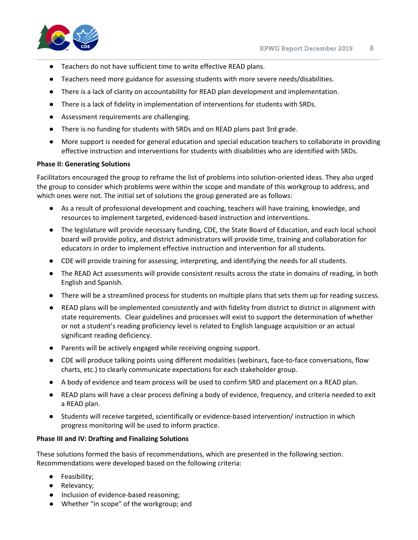

- Teachers do not have sufficient time to write effective READ plans.
- Teachers need more guidance for assessing students with more severe needs/disabilities.
- There is a lack of clarity on accountability for READ plan development and implementation.
- There is a lack of fidelity in implementation of interventions for students with SRDs.
- Assessment requirements are challenging.
- There is no funding for students with SRDs and on READ plans past 3rd grade.
- More support is needed for general education and special education teachers to collaborate in providing effective instruction and interventions for students with disabilities who are identified with SRDs.

#### **Phase II: Generating Solutions**

Facilitators encouraged the group to reframe the list of problems into solution-oriented ideas. They also urged the group to consider which problems were within the scope and mandate of this workgroup to address, and which ones were not. The initial set of solutions the group generated are as follows:

- As a result of professional development and coaching, teachers will have training, knowledge, and resources to implement targeted, evidenced-based instruction and interventions.
- The legislature will provide necessary funding, CDE, the State Board of Education, and each local school board will provide policy, and district administrators will provide time, training and collaboration for educators in order to implement effective instruction and intervention for all students.
- CDE will provide training for assessing, interpreting, and identifying the needs for all students.
- The READ Act assessments will provide consistent results across the state in domains of reading, in both English and Spanish.
- There will be a streamlined process for students on multiple plans that sets them up for reading success.
- READ plans will be implemented consistently and with fidelity from district to district in alignment with state requirements. Clear guidelines and processes will exist to support the determination of whether or not a student's reading proficiency level is related to English language acquisition or an actual significant reading deficiency.
- Parents will be actively engaged while receiving ongoing support.
- CDE will produce talking points using different modalities (webinars, face-to-face conversations, flow charts, etc.) to clearly communicate expectations for each stakeholder group.
- A body of evidence and team process will be used to confirm SRD and placement on a READ plan.
- READ plans will have a clear process defining a body of evidence, frequency, and criteria needed to exit a READ plan.
- Students will receive targeted, scientifically or evidence-based intervention/ instruction in which progress monitoring will be used to inform practice.

#### **Phase III and IV: Drafting and Finalizing Solutions**

These solutions formed the basis of recommendations, which are presented in the following section. Recommendations were developed based on the following criteria:

- Feasibility;
- Relevancy;
- Inclusion of evidence-based reasoning;
- Whether "in scope" of the workgroup; and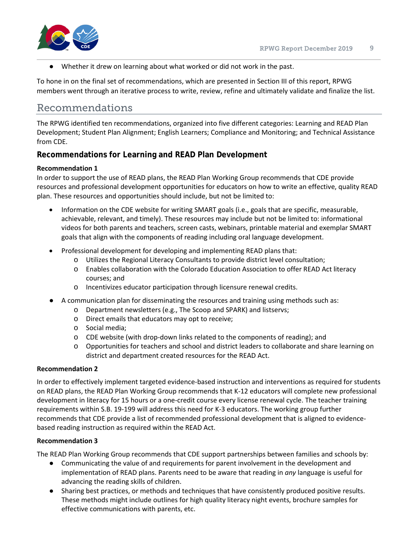

● Whether it drew on learning about what worked or did not work in the past.

To hone in on the final set of recommendations, which are presented in Section III of this report, RPWG members went through an iterative process to write, review, refine and ultimately validate and finalize the list.

### Recommendations

The RPWG identified ten recommendations, organized into five different categories: Learning and READ Plan Development; Student Plan Alignment; English Learners; Compliance and Monitoring; and Technical Assistance from CDE.

#### **Recommendations for Learning and READ Plan Development**

#### **Recommendation 1**

In order to support the use of READ plans, the READ Plan Working Group recommends that CDE provide resources and professional development opportunities for educators on how to write an effective, quality READ plan. These resources and opportunities should include, but not be limited to:

- Information on the CDE website for writing SMART goals (i.e., goals that are specific, measurable, achievable, relevant, and timely). These resources may include but not be limited to: informational videos for both parents and teachers, screen casts, webinars, printable material and exemplar SMART goals that align with the components of reading including oral language development.
- Professional development for developing and implementing READ plans that:
	- o Utilizes the Regional Literacy Consultants to provide district level consultation;
	- o Enables collaboration with the Colorado Education Association to offer READ Act literacy courses; and
	- o Incentivizes educator participation through licensure renewal credits.
- A communication plan for disseminating the resources and training using methods such as:
	- o Department newsletters (e.g., The Scoop and SPARK) and listservs;
	- o Direct emails that educators may opt to receive;
	- o Social media;
	- o CDE website (with drop-down links related to the components of reading); and
	- o Opportunities for teachers and school and district leaders to collaborate and share learning on district and department created resources for the READ Act.

#### **Recommendation 2**

In order to effectively implement targeted evidence-based instruction and interventions as required for students on READ plans, the READ Plan Working Group recommends that K-12 educators will complete new professional development in literacy for 15 hours or a one-credit course every license renewal cycle. The teacher training requirements within S.B. 19-199 will address this need for K-3 educators. The working group further recommends that CDE provide a list of recommended professional development that is aligned to evidencebased reading instruction as required within the READ Act.

#### **Recommendation 3**

The READ Plan Working Group recommends that CDE support partnerships between families and schools by:

- Communicating the value of and requirements for parent involvement in the development and implementation of READ plans. Parents need to be aware that reading in *any* language is useful for advancing the reading skills of children.
- Sharing best practices, or methods and techniques that have consistently produced positive results. These methods might include outlines for high quality literacy night events, brochure samples for effective communications with parents, etc.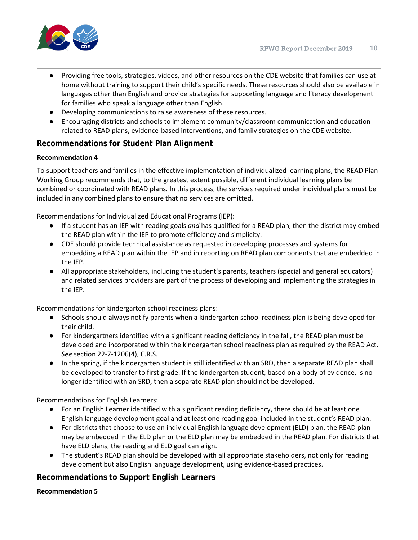

- Providing free tools, strategies, videos, and other resources on the CDE website that families can use at home without training to support their child's specific needs. These resources should also be available in languages other than English and provide strategies for supporting language and literacy development for families who speak a language other than English.
- Developing communications to raise awareness of these resources.
- Encouraging districts and schools to implement community/classroom communication and education related to READ plans, evidence-based interventions, and family strategies on the CDE website.

#### **Recommendations for Student Plan Alignment**

#### **Recommendation 4**

To support teachers and families in the effective implementation of individualized learning plans, the READ Plan Working Group recommends that, to the greatest extent possible, different individual learning plans be combined or coordinated with READ plans. In this process, the services required under individual plans must be included in any combined plans to ensure that no services are omitted.

Recommendations for Individualized Educational Programs (IEP):

- If a student has an IEP with reading goals *and* has qualified for a READ plan, then the district may embed the READ plan within the IEP to promote efficiency and simplicity.
- CDE should provide technical assistance as requested in developing processes and systems for embedding a READ plan within the IEP and in reporting on READ plan components that are embedded in the IEP.
- All appropriate stakeholders, including the student's parents, teachers (special and general educators) and related services providers are part of the process of developing and implementing the strategies in the IEP.

Recommendations for kindergarten school readiness plans:

- Schools should always notify parents when a kindergarten school readiness plan is being developed for their child.
- For kindergartners identified with a significant reading deficiency in the fall, the READ plan must be developed and incorporated within the kindergarten school readiness plan as required by the READ Act. *See* section 22-7-1206(4), C.R.S.
- In the spring, if the kindergarten student is still identified with an SRD, then a separate READ plan shall be developed to transfer to first grade. If the kindergarten student, based on a body of evidence, is no longer identified with an SRD, then a separate READ plan should not be developed.

Recommendations for English Learners:

- For an English Learner identified with a significant reading deficiency, there should be at least one English language development goal and at least one reading goal included in the student's READ plan.
- For districts that choose to use an individual English language development (ELD) plan, the READ plan may be embedded in the ELD plan or the ELD plan may be embedded in the READ plan. For districts that have ELD plans, the reading and ELD goal can align.
- The student's READ plan should be developed with all appropriate stakeholders, not only for reading development but also English language development, using evidence-based practices.

#### **Recommendations to Support English Learners**

#### **Recommendation 5**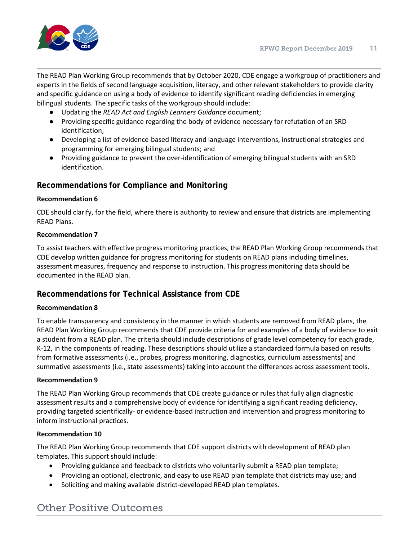

The READ Plan Working Group recommends that by October 2020, CDE engage a workgroup of practitioners and experts in the fields of second language acquisition, literacy, and other relevant stakeholders to provide clarity and specific guidance on using a body of evidence to identify significant reading deficiencies in emerging bilingual students. The specific tasks of the workgroup should include:

- Updating the *READ Act and English Learners Guidance* document;
- Providing specific guidance regarding the body of evidence necessary for refutation of an SRD identification;
- Developing a list of evidence-based literacy and language interventions, instructional strategies and programming for emerging bilingual students; and
- Providing guidance to prevent the over-identification of emerging bilingual students with an SRD identification.

#### **Recommendations for Compliance and Monitoring**

#### **Recommendation 6**

CDE should clarify, for the field, where there is authority to review and ensure that districts are implementing READ Plans.

#### **Recommendation 7**

To assist teachers with effective progress monitoring practices, the READ Plan Working Group recommends that CDE develop written guidance for progress monitoring for students on READ plans including timelines, assessment measures, frequency and response to instruction. This progress monitoring data should be documented in the READ plan.

#### **Recommendations for Technical Assistance from CDE**

#### **Recommendation 8**

To enable transparency and consistency in the manner in which students are removed from READ plans, the READ Plan Working Group recommends that CDE provide criteria for and examples of a body of evidence to exit a student from a READ plan. The criteria should include descriptions of grade level competency for each grade, K-12, in the components of reading. These descriptions should utilize a standardized formula based on results from formative assessments (i.e., probes, progress monitoring, diagnostics, curriculum assessments) and summative assessments (i.e., state assessments) taking into account the differences across assessment tools.

#### **Recommendation 9**

The READ Plan Working Group recommends that CDE create guidance or rules that fully align diagnostic assessment results and a comprehensive body of evidence for identifying a significant reading deficiency, providing targeted scientifically- or evidence-based instruction and intervention and progress monitoring to inform instructional practices.

#### **Recommendation 10**

The READ Plan Working Group recommends that CDE support districts with development of READ plan templates. This support should include:

- Providing guidance and feedback to districts who voluntarily submit a READ plan template;
- Providing an optional, electronic, and easy to use READ plan template that districts may use; and
- Soliciting and making available district-developed READ plan templates.

# Other Positive Outcomes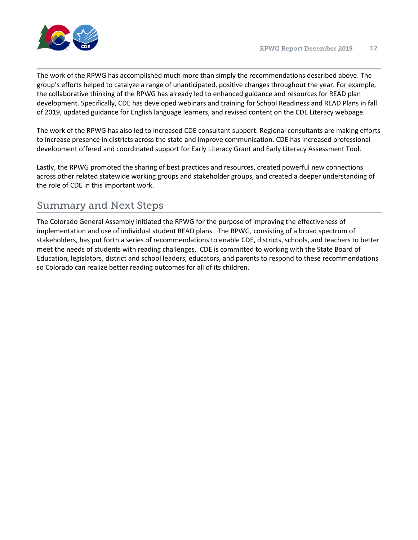

The work of the RPWG has accomplished much more than simply the recommendations described above. The group's efforts helped to catalyze a range of unanticipated, positive changes throughout the year. For example, the collaborative thinking of the RPWG has already led to enhanced guidance and resources for READ plan development. Specifically, CDE has developed webinars and training for School Readiness and READ Plans in fall of 2019, updated guidance for English language learners, and revised content on the CDE Literacy webpage.

The work of the RPWG has also led to increased CDE consultant support. Regional consultants are making efforts to increase presence in districts across the state and improve communication. CDE has increased professional development offered and coordinated support for Early Literacy Grant and Early Literacy Assessment Tool.

Lastly, the RPWG promoted the sharing of best practices and resources, created powerful new connections across other related statewide working groups and stakeholder groups, and created a deeper understanding of the role of CDE in this important work.

## Summary and Next Steps

The Colorado General Assembly initiated the RPWG for the purpose of improving the effectiveness of implementation and use of individual student READ plans. The RPWG, consisting of a broad spectrum of stakeholders, has put forth a series of recommendations to enable CDE, districts, schools, and teachers to better meet the needs of students with reading challenges. CDE is committed to working with the State Board of Education, legislators, district and school leaders, educators, and parents to respond to these recommendations so Colorado can realize better reading outcomes for all of its children.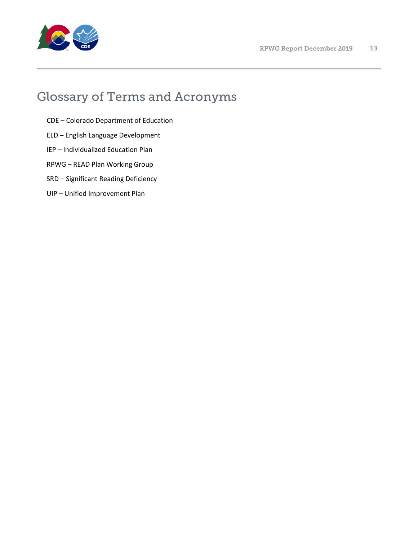

# Glossary of Terms and Acronyms

- CDE Colorado Department of Education
- ELD English Language Development
- IEP Individualized Education Plan
- RPWG READ Plan Working Group
- SRD Significant Reading Deficiency
- UIP Unified Improvement Plan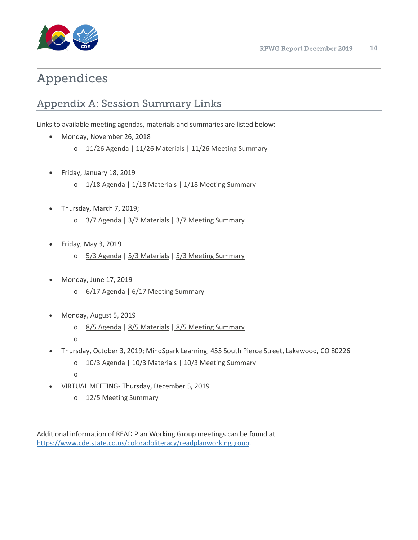

# Appendices

# Appendix A: Session Summary Links

Links to available meeting agendas, materials and summaries are listed below:

- Monday, November 26, 2018
	- o 11/26 [Agenda](https://www.cde.state.co.us/coloradoliteracy/1126agendaforreadplanworkgroup) | 11/26 [Materials](https://www.cde.state.co.us/coloradoliteracy/1126presentationppt) | [11/26 Meeting Summary](https://www.cde.state.co.us/coloradoliteracy/read-plan-work-group-meeting-summary112618)
- Friday, January 18, 2019
	- o 1/18 [Agenda](https://www.cde.state.co.us/coloradoliteracy/1126agendaforreadplanworkgroup) | 1/18 [Materials](https://www.cde.state.co.us/coloradoliteracy/1126presentationppt) | [1/18 Meeting Summary](https://www.cde.state.co.us/coloradoliteracy/jan2019rpwgmeetingsummary)
- Thursday, March 7, 2019;
	- o [3/7 Agenda](https://www.cde.state.co.us/coloradoliteracy/march2019rpwgmeetingagenda) | 3/7 [Materials](https://www.cde.state.co.us/coloradoliteracy/march2019rpwgmaterials) | [3/7 Meeting Summary](https://www.cde.state.co.us/coloradoliteracy/march2019rpwgmeetingsummary)
- Friday, May 3, 2019
	- o [5/3 Agenda](https://www.cde.state.co.us/coloradoliteracy/may2019rpwgmeetingagenda) | 5/3 [Materials](https://www.cde.state.co.us/coloradoliteracy/may2019rpwgmeetingmaterials) | [5/3 Meeting Summary](https://www.cde.state.co.us/coloradoliteracy/may2019-rpwg-meeting-summary)
- Monday, June 17, 2019
	- o [6/17 Agenda](https://www.cde.state.co.us/coloradoliteracy/june-17-2019-read-plan-working-group-agenda) | 6/17 Meeting Summary
- Monday, August 5, 2019
	- o [8/5 Agenda](https://www.cde.state.co.us/coloradoliteracy/august2019rpwgmeetingagenda) | [8/5 Materials](https://www.cde.state.co.us/coloradoliteracy/august2019rpwgmeetingpresentation) | [8/5 Meeting Summary](https://www.cde.state.co.us/coloradoliteracy/august2019rpwgmeetingsummary)

o

- Thursday, October 3, 2019; MindSpark Learning, 455 South Pierce Street, Lakewood, CO 80226
	- o [10/3 Agenda](http://www.cde.state.co.us/coloradoliteracy/rpwgmeetingagenda) | 10/3 Materials | [10/3 Meeting Summary](http://www.cde.state.co.us/coloradoliteracy/rpwgoctobermeetingsummary)
	- o
- VIRTUAL MEETING- Thursday, December 5, 2019
	- o [12/5 Meeting Summary](http://www.cde.state.co.us/coloradoliteracy/rpwgmeetingsummary)

Additional information of READ Plan Working Group meetings can be found at [https://www.cde.state.co.us/coloradoliteracy/readplanworkinggroup.](https://www.cde.state.co.us/coloradoliteracy/readplanworkinggroup)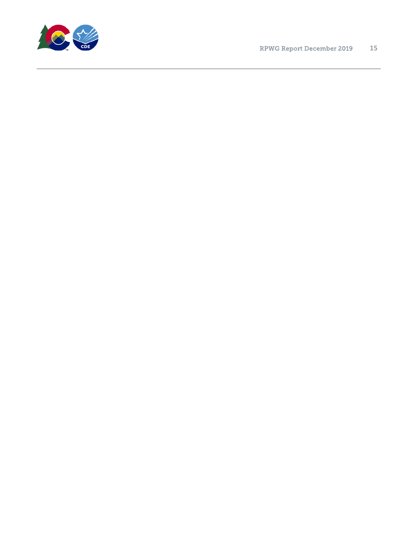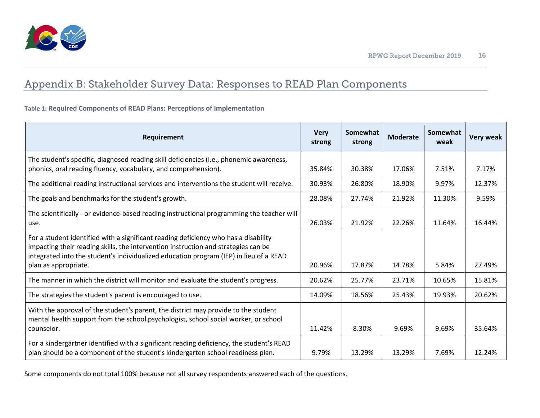# Appendix B: Stakeholder Survey Data: Responses to READ Plan Components

#### **Table 1: Required Components of READ Plans: Perceptions of Implementation**

| Requirement                                                                                                                                                                                                                                                                                 | <b>Very</b><br>strong | Somewhat<br>strong | <b>Moderate</b> | Somewhat<br>weak | <b>Very weak</b> |
|---------------------------------------------------------------------------------------------------------------------------------------------------------------------------------------------------------------------------------------------------------------------------------------------|-----------------------|--------------------|-----------------|------------------|------------------|
| The student's specific, diagnosed reading skill deficiencies (i.e., phonemic awareness,<br>phonics, oral reading fluency, vocabulary, and comprehension).                                                                                                                                   | 35.84%                | 30.38%             | 17.06%          | 7.51%            | 7.17%            |
| The additional reading instructional services and interventions the student will receive.                                                                                                                                                                                                   | 30.93%                | 26.80%             | 18.90%          | 9.97%            | 12.37%           |
| The goals and benchmarks for the student's growth.                                                                                                                                                                                                                                          | 28.08%                | 27.74%             | 21.92%          | 11.30%           | 9.59%            |
| The scientifically - or evidence-based reading instructional programming the teacher will<br>use.                                                                                                                                                                                           | 26.03%                | 21.92%             | 22.26%          | 11.64%           | 16.44%           |
| For a student identified with a significant reading deficiency who has a disability<br>impacting their reading skills, the intervention instruction and strategies can be<br>integrated into the student's individualized education program (IEP) in lieu of a READ<br>plan as appropriate. | 20.96%                | 17.87%             | 14.78%          | 5.84%            | 27.49%           |
| The manner in which the district will monitor and evaluate the student's progress.                                                                                                                                                                                                          | 20.62%                | 25.77%             | 23.71%          | 10.65%           | 15.81%           |
| The strategies the student's parent is encouraged to use.                                                                                                                                                                                                                                   | 14.09%                | 18.56%             | 25.43%          | 19.93%           | 20.62%           |
| With the approval of the student's parent, the district may provide to the student<br>mental health support from the school psychologist, school social worker, or school<br>counselor.                                                                                                     | 11.42%                | 8.30%              | 9.69%           | 9.69%            | 35.64%           |
| For a kindergartner identified with a significant reading deficiency, the student's READ<br>plan should be a component of the student's kindergarten school readiness plan.                                                                                                                 | 9.79%                 | 13.29%             | 13.29%          | 7.69%            | 12.24%           |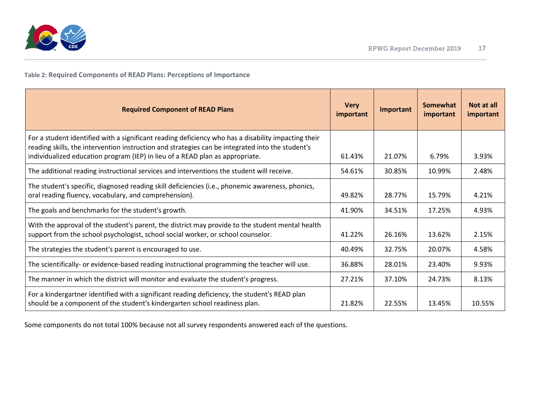

**Table 2: Required Components of READ Plans: Perceptions of Importance** 

| <b>Required Component of READ Plans</b>                                                                                                                                                                                                                                                  | <b>Very</b><br>important | Important | Somewhat<br>important | Not at all<br>important |
|------------------------------------------------------------------------------------------------------------------------------------------------------------------------------------------------------------------------------------------------------------------------------------------|--------------------------|-----------|-----------------------|-------------------------|
| For a student identified with a significant reading deficiency who has a disability impacting their<br>reading skills, the intervention instruction and strategies can be integrated into the student's<br>individualized education program (IEP) in lieu of a READ plan as appropriate. | 61.43%                   | 21.07%    | 6.79%                 | 3.93%                   |
| The additional reading instructional services and interventions the student will receive.                                                                                                                                                                                                | 54.61%                   | 30.85%    | 10.99%                | 2.48%                   |
| The student's specific, diagnosed reading skill deficiencies (i.e., phonemic awareness, phonics,<br>oral reading fluency, vocabulary, and comprehension).                                                                                                                                | 49.82%                   | 28.77%    | 15.79%                | 4.21%                   |
| The goals and benchmarks for the student's growth.                                                                                                                                                                                                                                       | 41.90%                   | 34.51%    | 17.25%                | 4.93%                   |
| With the approval of the student's parent, the district may provide to the student mental health<br>support from the school psychologist, school social worker, or school counselor.                                                                                                     | 41.22%                   | 26.16%    | 13.62%                | 2.15%                   |
| The strategies the student's parent is encouraged to use.                                                                                                                                                                                                                                | 40.49%                   | 32.75%    | 20.07%                | 4.58%                   |
| The scientifically- or evidence-based reading instructional programming the teacher will use.                                                                                                                                                                                            | 36.88%                   | 28.01%    | 23.40%                | 9.93%                   |
| The manner in which the district will monitor and evaluate the student's progress.                                                                                                                                                                                                       | 27.21%                   | 37.10%    | 24.73%                | 8.13%                   |
| For a kindergartner identified with a significant reading deficiency, the student's READ plan<br>should be a component of the student's kindergarten school readiness plan.                                                                                                              | 21.82%                   | 22.55%    | 13.45%                | 10.55%                  |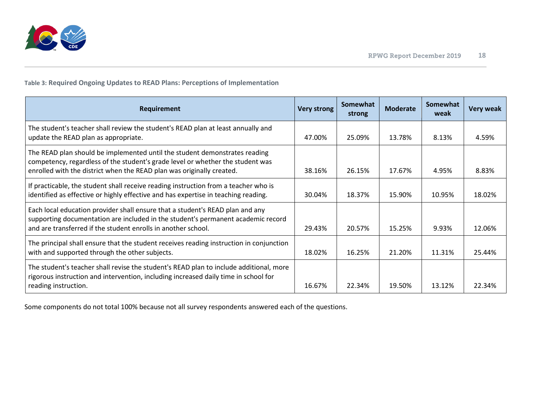

#### **Table 3: Required Ongoing Updates to READ Plans: Perceptions of Implementation**

| <b>Requirement</b>                                                                                                                                                                                                                    | <b>Very strong</b> | Somewhat<br>strong | <b>Moderate</b> | Somewhat<br>weak | <b>Very weak</b> |
|---------------------------------------------------------------------------------------------------------------------------------------------------------------------------------------------------------------------------------------|--------------------|--------------------|-----------------|------------------|------------------|
| The student's teacher shall review the student's READ plan at least annually and<br>update the READ plan as appropriate.                                                                                                              | 47.00%             | 25.09%             | 13.78%          | 8.13%            | 4.59%            |
| The READ plan should be implemented until the student demonstrates reading<br>competency, regardless of the student's grade level or whether the student was<br>enrolled with the district when the READ plan was originally created. | 38.16%             | 26.15%             | 17.67%          | 4.95%            | 8.83%            |
| If practicable, the student shall receive reading instruction from a teacher who is<br>identified as effective or highly effective and has expertise in teaching reading.                                                             | 30.04%             | 18.37%             | 15.90%          | 10.95%           | 18.02%           |
| Each local education provider shall ensure that a student's READ plan and any<br>supporting documentation are included in the student's permanent academic record<br>and are transferred if the student enrolls in another school.    | 29.43%             | 20.57%             | 15.25%          | 9.93%            | 12.06%           |
| The principal shall ensure that the student receives reading instruction in conjunction<br>with and supported through the other subjects.                                                                                             | 18.02%             | 16.25%             | 21.20%          | 11.31%           | 25.44%           |
| The student's teacher shall revise the student's READ plan to include additional, more<br>rigorous instruction and intervention, including increased daily time in school for<br>reading instruction.                                 | 16.67%             | 22.34%             | 19.50%          | 13.12%           | 22.34%           |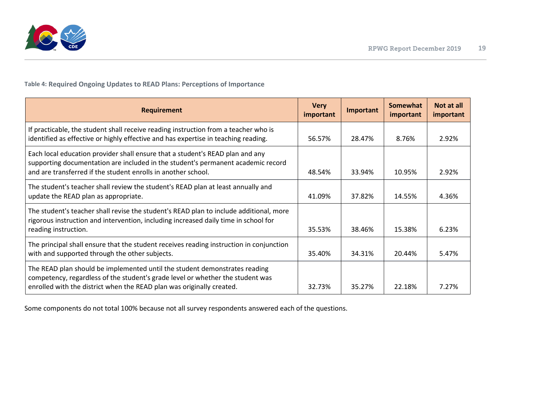

#### **Table 4: Required Ongoing Updates to READ Plans: Perceptions of Importance**

| <b>Requirement</b>                                                                                                                                                                                                                    | <b>Very</b><br>important | Important | <b>Somewhat</b><br>important | Not at all<br>important |
|---------------------------------------------------------------------------------------------------------------------------------------------------------------------------------------------------------------------------------------|--------------------------|-----------|------------------------------|-------------------------|
| If practicable, the student shall receive reading instruction from a teacher who is<br>identified as effective or highly effective and has expertise in teaching reading.                                                             | 56.57%                   | 28.47%    | 8.76%                        | 2.92%                   |
| Each local education provider shall ensure that a student's READ plan and any<br>supporting documentation are included in the student's permanent academic record<br>and are transferred if the student enrolls in another school.    | 48.54%                   | 33.94%    | 10.95%                       | 2.92%                   |
| The student's teacher shall review the student's READ plan at least annually and<br>update the READ plan as appropriate.                                                                                                              | 41.09%                   | 37.82%    | 14.55%                       | 4.36%                   |
| The student's teacher shall revise the student's READ plan to include additional, more<br>rigorous instruction and intervention, including increased daily time in school for<br>reading instruction.                                 | 35.53%                   | 38.46%    | 15.38%                       | 6.23%                   |
| The principal shall ensure that the student receives reading instruction in conjunction<br>with and supported through the other subjects.                                                                                             | 35.40%                   | 34.31%    | 20.44%                       | 5.47%                   |
| The READ plan should be implemented until the student demonstrates reading<br>competency, regardless of the student's grade level or whether the student was<br>enrolled with the district when the READ plan was originally created. | 32.73%                   | 35.27%    | 22.18%                       | 7.27%                   |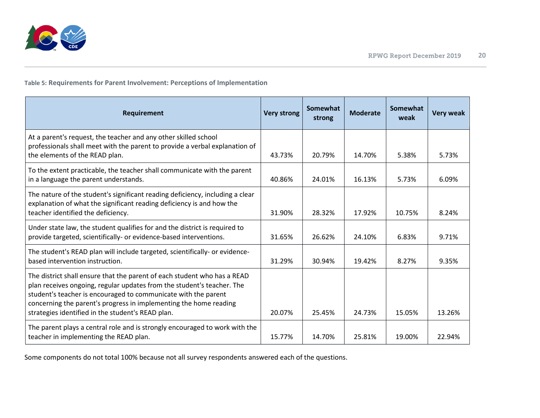

#### **Table 5: Requirements for Parent Involvement: Perceptions of Implementation**

| Requirement                                                                                                                                                                                                                                                                                                                                    | <b>Very strong</b> | Somewhat<br>strong | <b>Moderate</b> | Somewhat<br>weak | <b>Very weak</b> |
|------------------------------------------------------------------------------------------------------------------------------------------------------------------------------------------------------------------------------------------------------------------------------------------------------------------------------------------------|--------------------|--------------------|-----------------|------------------|------------------|
| At a parent's request, the teacher and any other skilled school<br>professionals shall meet with the parent to provide a verbal explanation of<br>the elements of the READ plan.                                                                                                                                                               | 43.73%             | 20.79%             | 14.70%          | 5.38%            | 5.73%            |
| To the extent practicable, the teacher shall communicate with the parent<br>in a language the parent understands.                                                                                                                                                                                                                              | 40.86%             | 24.01%             | 16.13%          | 5.73%            | 6.09%            |
| The nature of the student's significant reading deficiency, including a clear<br>explanation of what the significant reading deficiency is and how the<br>teacher identified the deficiency.                                                                                                                                                   | 31.90%             | 28.32%             | 17.92%          | 10.75%           | 8.24%            |
| Under state law, the student qualifies for and the district is required to<br>provide targeted, scientifically- or evidence-based interventions.                                                                                                                                                                                               | 31.65%             | 26.62%             | 24.10%          | 6.83%            | 9.71%            |
| The student's READ plan will include targeted, scientifically- or evidence-<br>based intervention instruction.                                                                                                                                                                                                                                 | 31.29%             | 30.94%             | 19.42%          | 8.27%            | 9.35%            |
| The district shall ensure that the parent of each student who has a READ<br>plan receives ongoing, regular updates from the student's teacher. The<br>student's teacher is encouraged to communicate with the parent<br>concerning the parent's progress in implementing the home reading<br>strategies identified in the student's READ plan. | 20.07%             | 25.45%             | 24.73%          | 15.05%           | 13.26%           |
| The parent plays a central role and is strongly encouraged to work with the<br>teacher in implementing the READ plan.                                                                                                                                                                                                                          | 15.77%             | 14.70%             | 25.81%          | 19.00%           | 22.94%           |